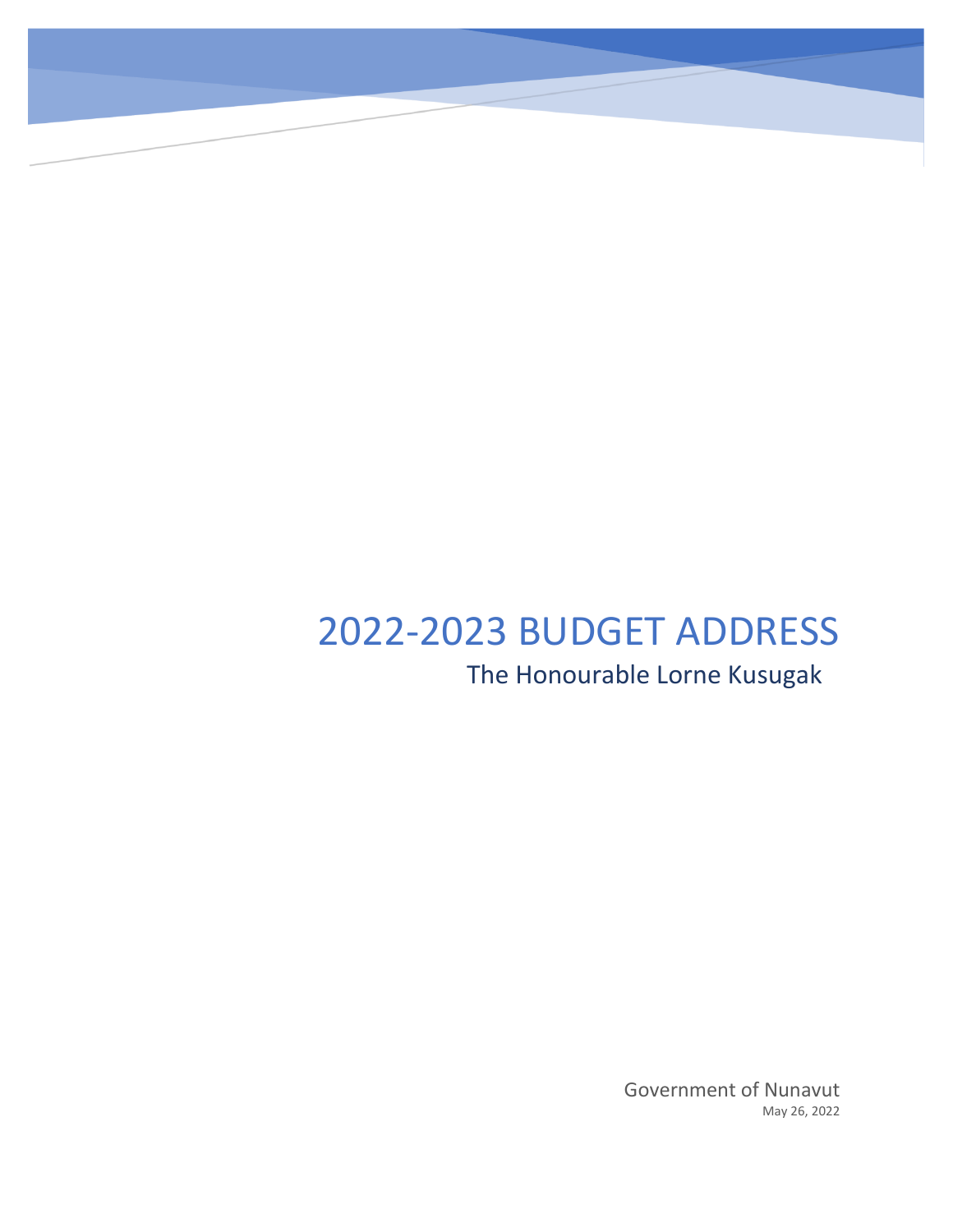# 2022-2023 BUDGET ADDRESS The Honourable Lorne Kusugak

Government of Nunavut May 26, 2022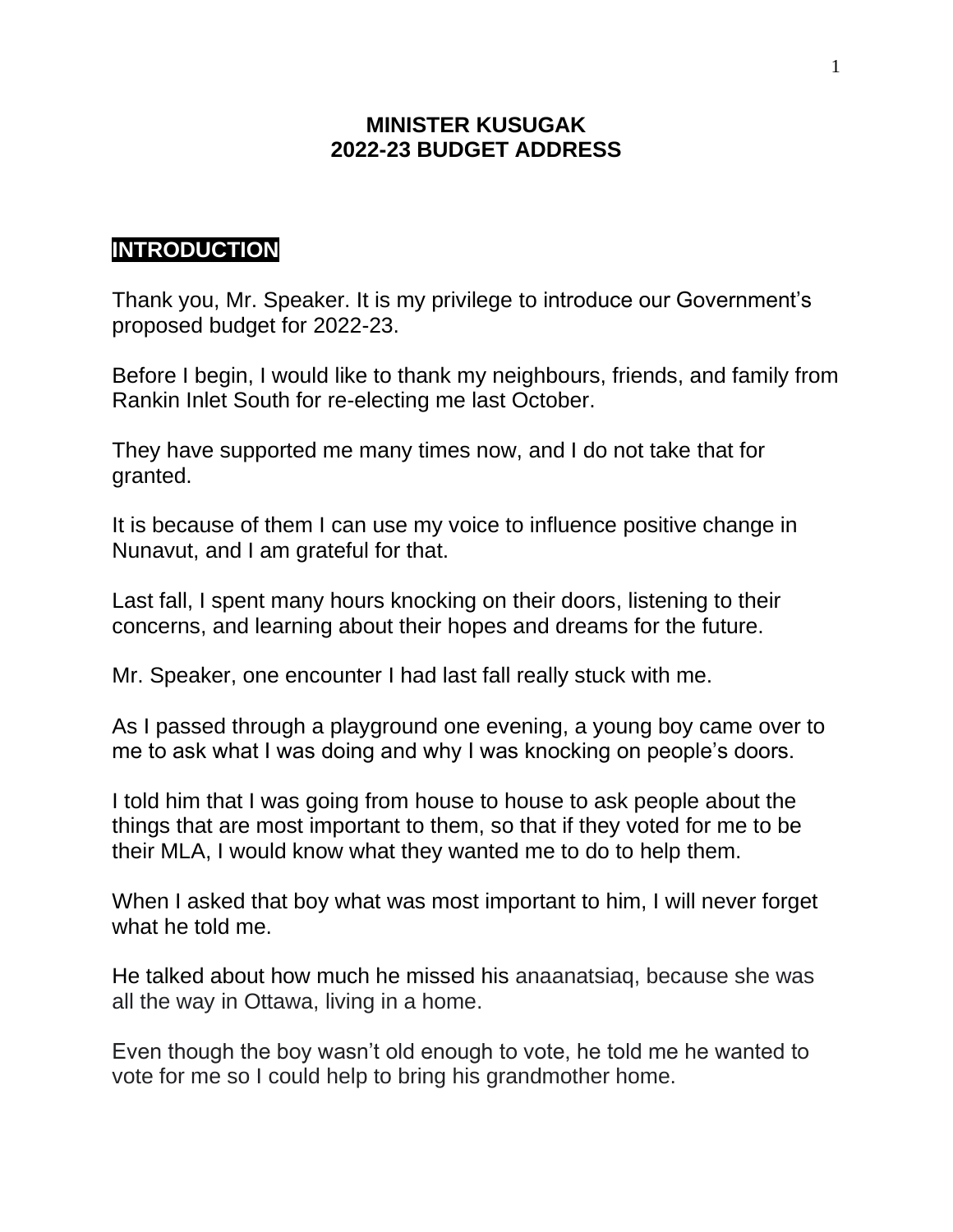#### **MINISTER KUSUGAK 2022-23 BUDGET ADDRESS**

## **INTRODUCTION**

Thank you, Mr. Speaker. It is my privilege to introduce our Government's proposed budget for 2022-23.

Before I begin, I would like to thank my neighbours, friends, and family from Rankin Inlet South for re-electing me last October.

They have supported me many times now, and I do not take that for granted.

It is because of them I can use my voice to influence positive change in Nunavut, and I am grateful for that.

Last fall, I spent many hours knocking on their doors, listening to their concerns, and learning about their hopes and dreams for the future.

Mr. Speaker, one encounter I had last fall really stuck with me.

As I passed through a playground one evening, a young boy came over to me to ask what I was doing and why I was knocking on people's doors.

I told him that I was going from house to house to ask people about the things that are most important to them, so that if they voted for me to be their MLA, I would know what they wanted me to do to help them.

When I asked that boy what was most important to him, I will never forget what he told me.

He talked about how much he missed his anaanatsiaq, because she was all the way in Ottawa, living in a home.

Even though the boy wasn't old enough to vote, he told me he wanted to vote for me so I could help to bring his grandmother home.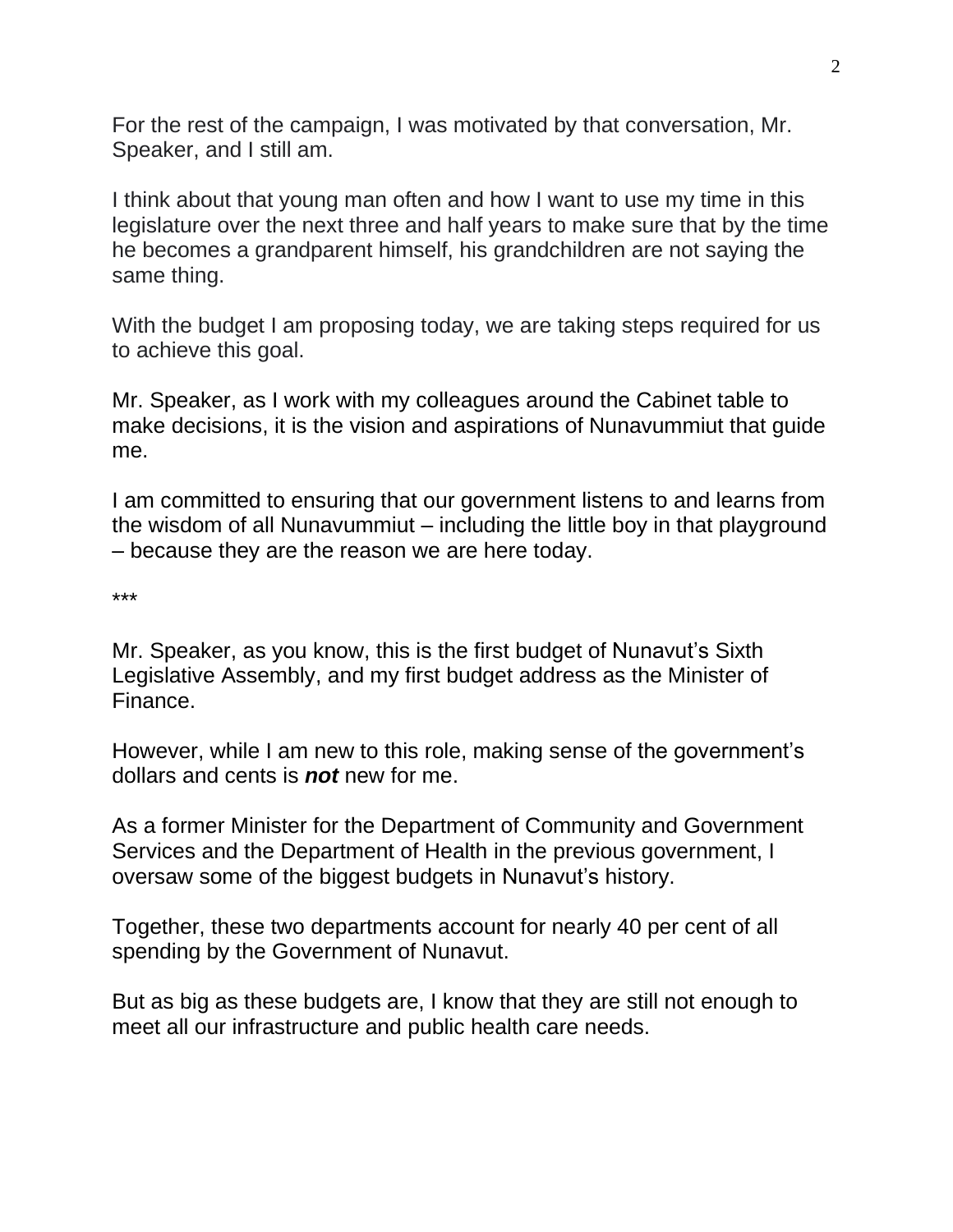For the rest of the campaign, I was motivated by that conversation, Mr. Speaker, and I still am.

I think about that young man often and how I want to use my time in this legislature over the next three and half years to make sure that by the time he becomes a grandparent himself, his grandchildren are not saying the same thing.

With the budget I am proposing today, we are taking steps required for us to achieve this goal.

Mr. Speaker, as I work with my colleagues around the Cabinet table to make decisions, it is the vision and aspirations of Nunavummiut that guide me.

I am committed to ensuring that our government listens to and learns from the wisdom of all Nunavummiut – including the little boy in that playground – because they are the reason we are here today.

\*\*\*

Mr. Speaker, as you know, this is the first budget of Nunavut's Sixth Legislative Assembly, and my first budget address as the Minister of Finance.

However, while I am new to this role, making sense of the government's dollars and cents is *not* new for me.

As a former Minister for the Department of Community and Government Services and the Department of Health in the previous government, I oversaw some of the biggest budgets in Nunavut's history.

Together, these two departments account for nearly 40 per cent of all spending by the Government of Nunavut.

But as big as these budgets are, I know that they are still not enough to meet all our infrastructure and public health care needs.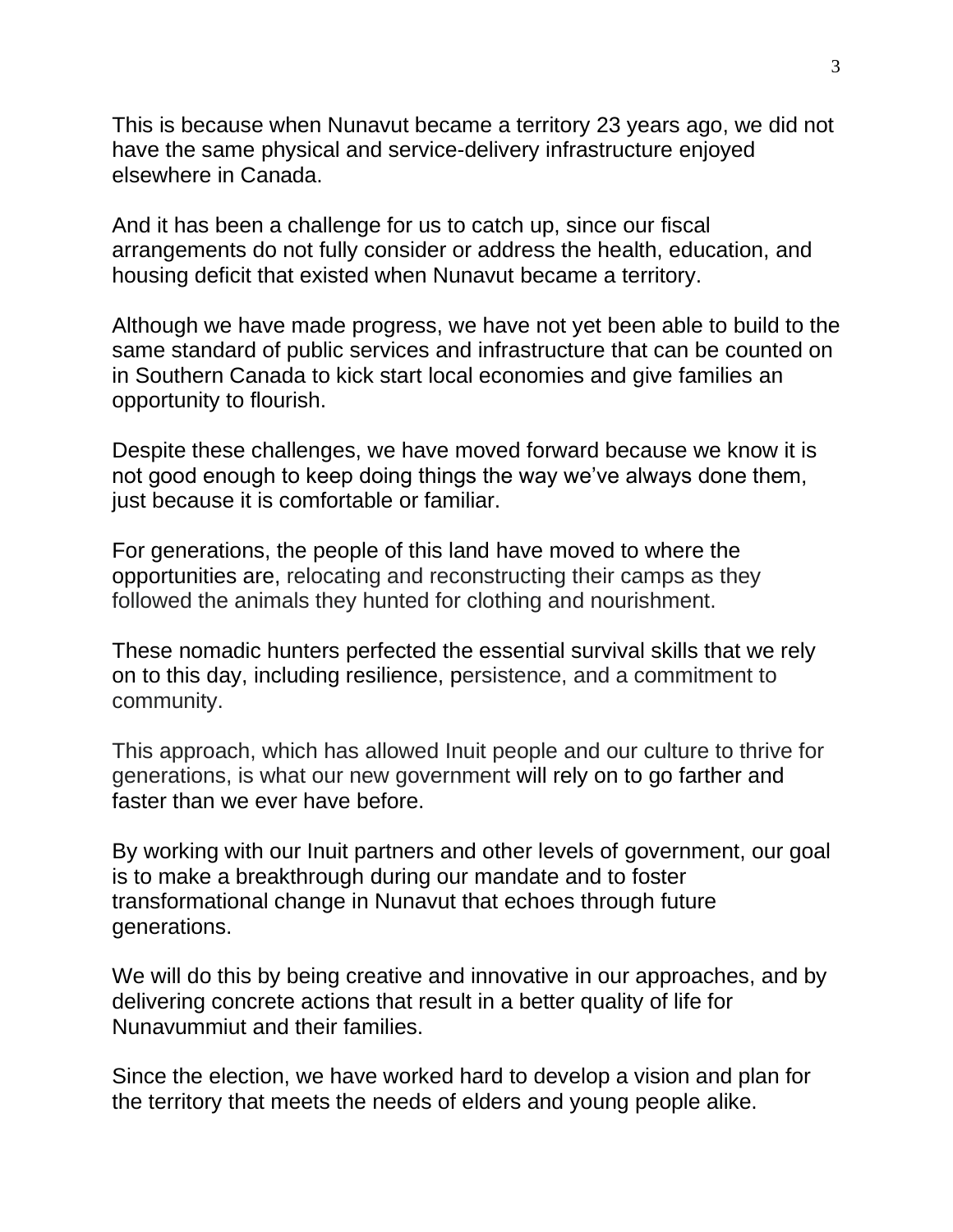This is because when Nunavut became a territory 23 years ago, we did not have the same physical and service-delivery infrastructure enjoyed elsewhere in Canada.

And it has been a challenge for us to catch up, since our fiscal arrangements do not fully consider or address the health, education, and housing deficit that existed when Nunavut became a territory.

Although we have made progress, we have not yet been able to build to the same standard of public services and infrastructure that can be counted on in Southern Canada to kick start local economies and give families an opportunity to flourish.

Despite these challenges, we have moved forward because we know it is not good enough to keep doing things the way we've always done them, just because it is comfortable or familiar.

For generations, the people of this land have moved to where the opportunities are, relocating and reconstructing their camps as they followed the animals they hunted for clothing and nourishment.

These nomadic hunters perfected the essential survival skills that we rely on to this day, including resilience, persistence, and a commitment to community.

This approach, which has allowed Inuit people and our culture to thrive for generations, is what our new government will rely on to go farther and faster than we ever have before.

By working with our Inuit partners and other levels of government, our goal is to make a breakthrough during our mandate and to foster transformational change in Nunavut that echoes through future generations.

We will do this by being creative and innovative in our approaches, and by delivering concrete actions that result in a better quality of life for Nunavummiut and their families.

Since the election, we have worked hard to develop a vision and plan for the territory that meets the needs of elders and young people alike.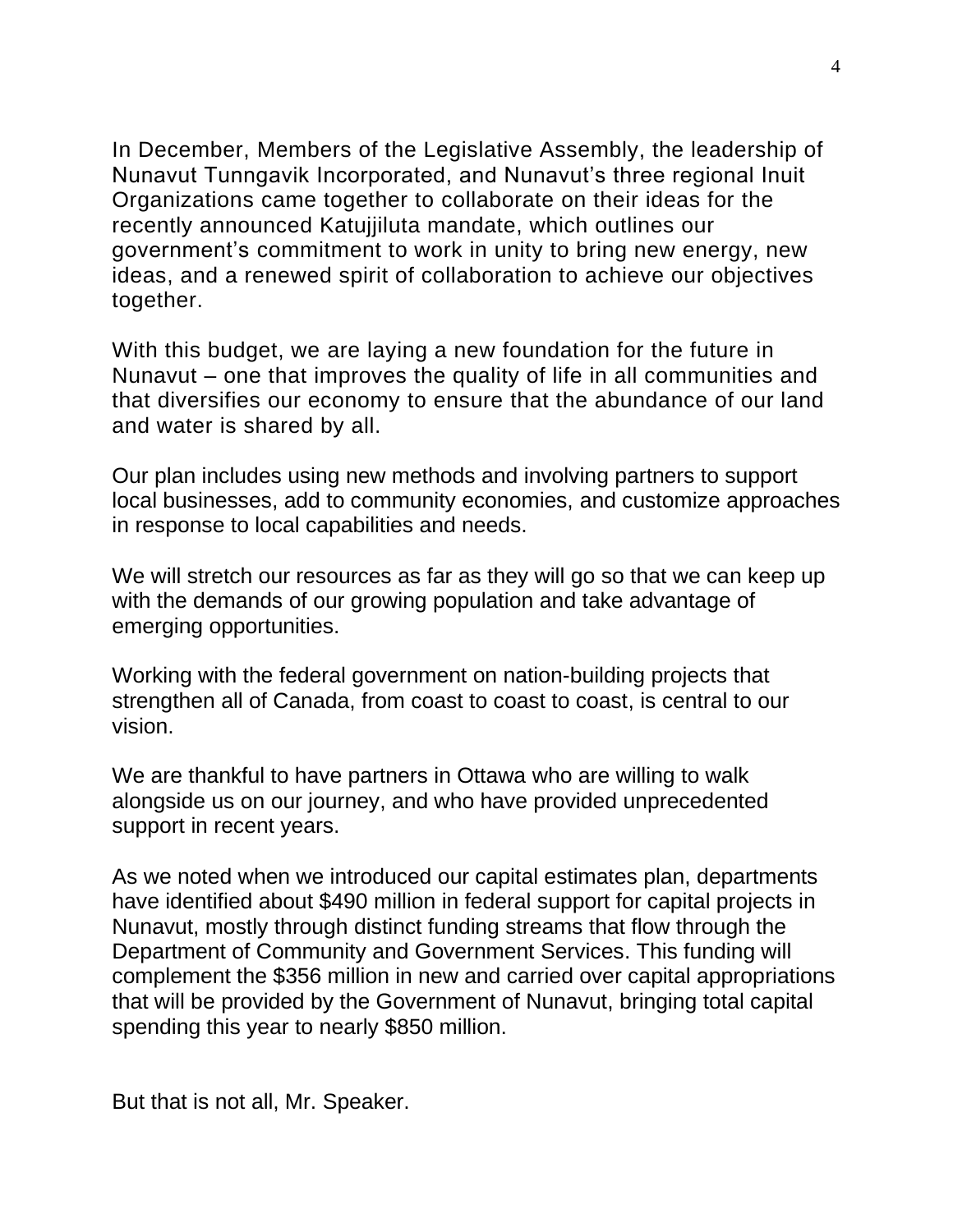In December, Members of the Legislative Assembly, the leadership of Nunavut Tunngavik Incorporated, and Nunavut's three regional Inuit Organizations came together to collaborate on their ideas for the recently announced Katujjiluta mandate, which outlines our government's commitment to work in unity to bring new energy, new ideas, and a renewed spirit of collaboration to achieve our objectives together.

With this budget, we are laying a new foundation for the future in Nunavut – one that improves the quality of life in all communities and that diversifies our economy to ensure that the abundance of our land and water is shared by all.

Our plan includes using new methods and involving partners to support local businesses, add to community economies, and customize approaches in response to local capabilities and needs.

We will stretch our resources as far as they will go so that we can keep up with the demands of our growing population and take advantage of emerging opportunities.

Working with the federal government on nation-building projects that strengthen all of Canada, from coast to coast to coast, is central to our vision.

We are thankful to have partners in Ottawa who are willing to walk alongside us on our journey, and who have provided unprecedented support in recent years.

As we noted when we introduced our capital estimates plan, departments have identified about \$490 million in federal support for capital projects in Nunavut, mostly through distinct funding streams that flow through the Department of Community and Government Services. This funding will complement the \$356 million in new and carried over capital appropriations that will be provided by the Government of Nunavut, bringing total capital spending this year to nearly \$850 million.

But that is not all, Mr. Speaker.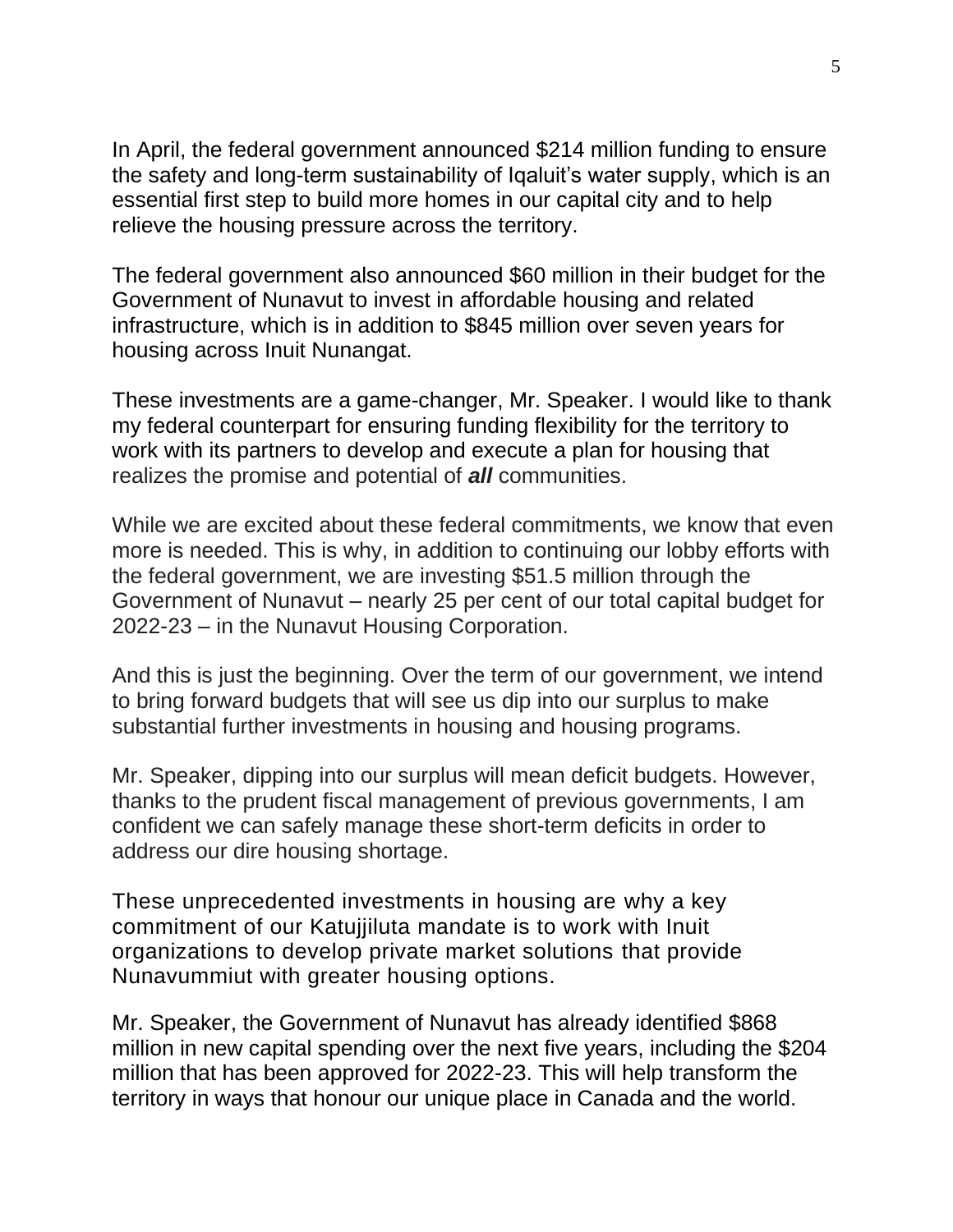In April, the federal government announced \$214 million funding to ensure the safety and long-term sustainability of Iqaluit's water supply, which is an essential first step to build more homes in our capital city and to help relieve the housing pressure across the territory.

The federal government also announced \$60 million in their budget for the Government of Nunavut to invest in affordable housing and related infrastructure, which is in addition to \$845 million over seven years for housing across Inuit Nunangat.

These investments are a game-changer, Mr. Speaker. I would like to thank my federal counterpart for ensuring funding flexibility for the territory to work with its partners to develop and execute a plan for housing that realizes the promise and potential of *all* communities.

While we are excited about these federal commitments, we know that even more is needed. This is why, in addition to continuing our lobby efforts with the federal government, we are investing \$51.5 million through the Government of Nunavut – nearly 25 per cent of our total capital budget for 2022-23 – in the Nunavut Housing Corporation.

And this is just the beginning. Over the term of our government, we intend to bring forward budgets that will see us dip into our surplus to make substantial further investments in housing and housing programs.

Mr. Speaker, dipping into our surplus will mean deficit budgets. However, thanks to the prudent fiscal management of previous governments, I am confident we can safely manage these short-term deficits in order to address our dire housing shortage.

These unprecedented investments in housing are why a key commitment of our Katujjiluta mandate is to work with Inuit organizations to develop private market solutions that provide Nunavummiut with greater housing options.

Mr. Speaker, the Government of Nunavut has already identified \$868 million in new capital spending over the next five years, including the \$204 million that has been approved for 2022-23. This will help transform the territory in ways that honour our unique place in Canada and the world.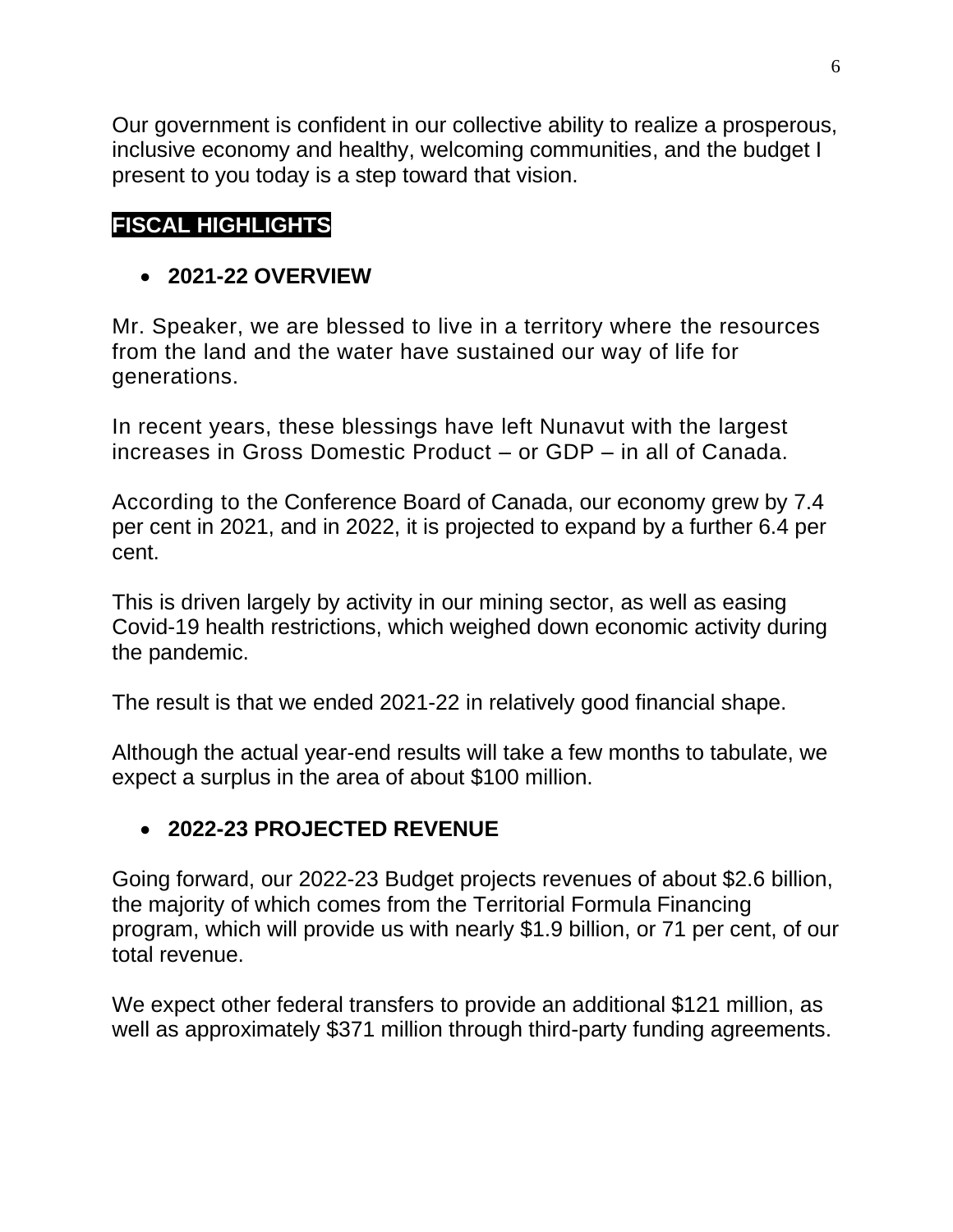Our government is confident in our collective ability to realize a prosperous, inclusive economy and healthy, welcoming communities, and the budget I present to you today is a step toward that vision.

# **FISCAL HIGHLIGHTS**

## • **2021-22 OVERVIEW**

Mr. Speaker, we are blessed to live in a territory where the resources from the land and the water have sustained our way of life for generations.

In recent years, these blessings have left Nunavut with the largest increases in Gross Domestic Product – or GDP – in all of Canada.

According to the Conference Board of Canada, our economy grew by 7.4 per cent in 2021, and in 2022, it is projected to expand by a further 6.4 per cent.

This is driven largely by activity in our mining sector, as well as easing Covid-19 health restrictions, which weighed down economic activity during the pandemic.

The result is that we ended 2021-22 in relatively good financial shape.

Although the actual year-end results will take a few months to tabulate, we expect a surplus in the area of about \$100 million.

## • **2022-23 PROJECTED REVENUE**

Going forward, our 2022-23 Budget projects revenues of about \$2.6 billion, the majority of which comes from the Territorial Formula Financing program, which will provide us with nearly \$1.9 billion, or 71 per cent, of our total revenue.

We expect other federal transfers to provide an additional \$121 million, as well as approximately \$371 million through third-party funding agreements.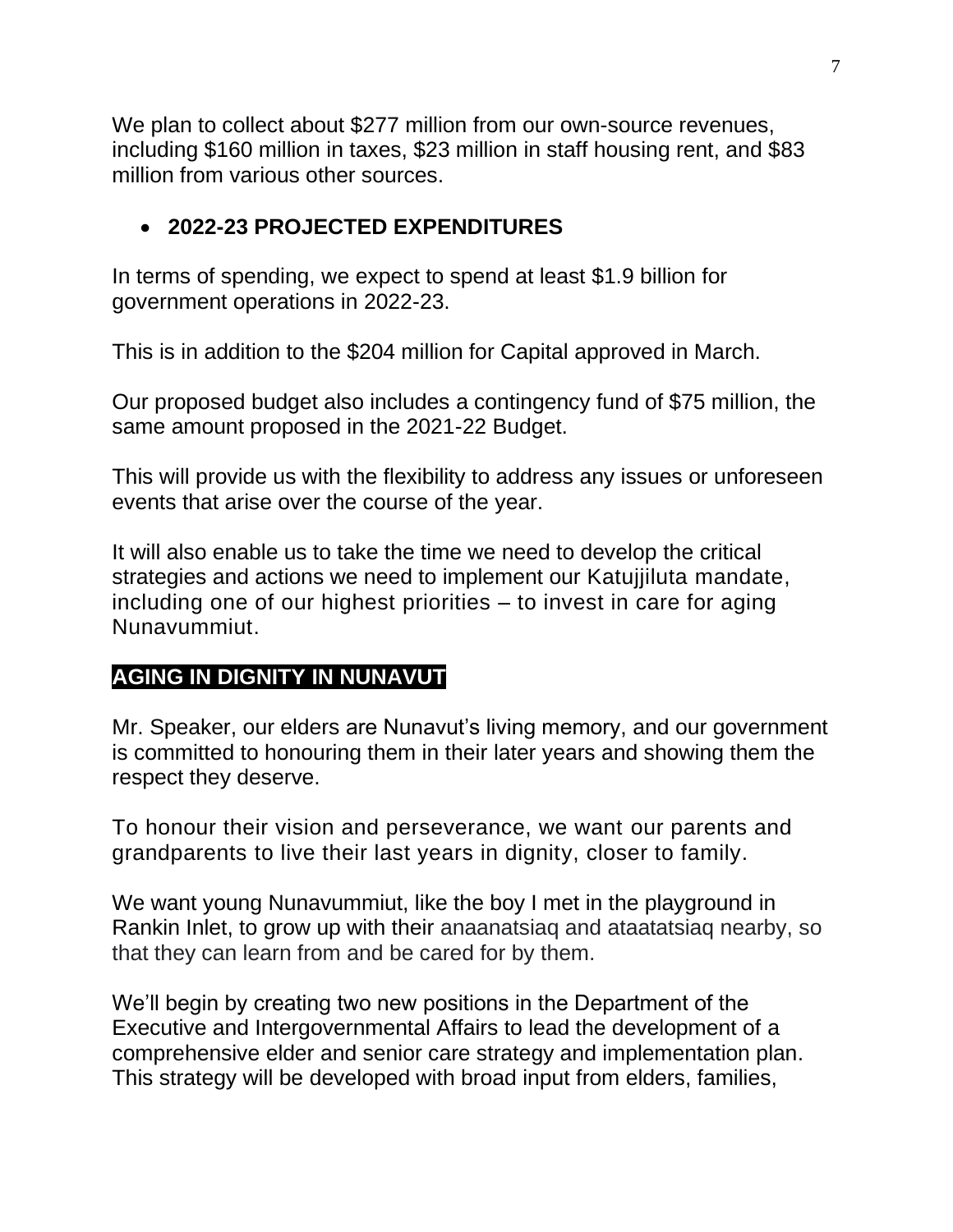We plan to collect about \$277 million from our own-source revenues, including \$160 million in taxes, \$23 million in staff housing rent, and \$83 million from various other sources.

## • **2022-23 PROJECTED EXPENDITURES**

In terms of spending, we expect to spend at least \$1.9 billion for government operations in 2022-23.

This is in addition to the \$204 million for Capital approved in March.

Our proposed budget also includes a contingency fund of \$75 million, the same amount proposed in the 2021-22 Budget.

This will provide us with the flexibility to address any issues or unforeseen events that arise over the course of the year.

It will also enable us to take the time we need to develop the critical strategies and actions we need to implement our Katujjiluta mandate, including one of our highest priorities – to invest in care for aging Nunavummiut.

# **AGING IN DIGNITY IN NUNAVUT**

Mr. Speaker, our elders are Nunavut's living memory, and our government is committed to honouring them in their later years and showing them the respect they deserve.

To honour their vision and perseverance, we want our parents and grandparents to live their last years in dignity, closer to family.

We want young Nunavummiut, like the boy I met in the playground in Rankin Inlet, to grow up with their anaanatsiaq and ataatatsiaq nearby, so that they can learn from and be cared for by them.

We'll begin by creating two new positions in the Department of the Executive and Intergovernmental Affairs to lead the development of a comprehensive elder and senior care strategy and implementation plan. This strategy will be developed with broad input from elders, families,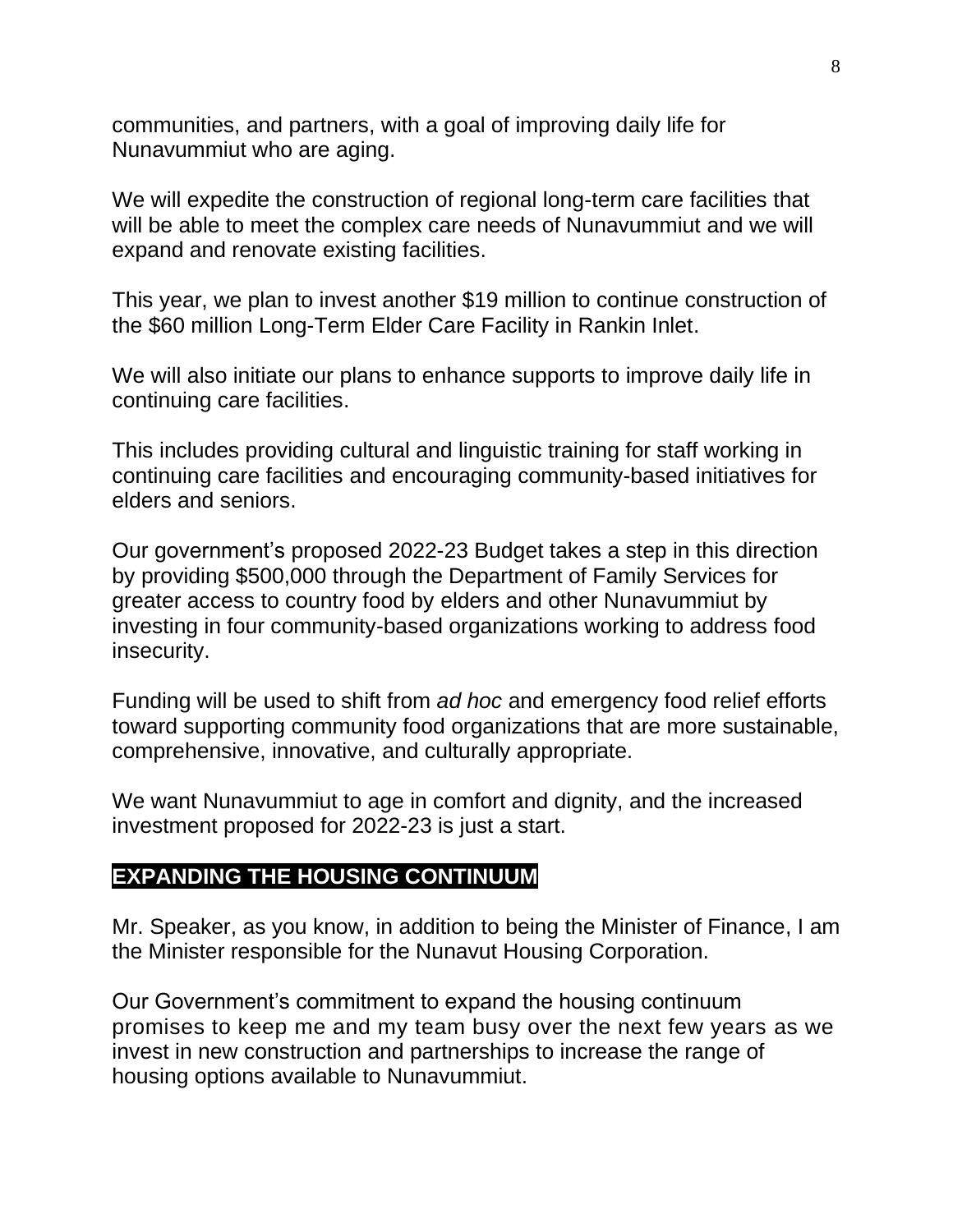communities, and partners, with a goal of improving daily life for Nunavummiut who are aging.

We will expedite the construction of regional long-term care facilities that will be able to meet the complex care needs of Nunavummiut and we will expand and renovate existing facilities.

This year, we plan to invest another \$19 million to continue construction of the \$60 million Long-Term Elder Care Facility in Rankin Inlet.

We will also initiate our plans to enhance supports to improve daily life in continuing care facilities.

This includes providing cultural and linguistic training for staff working in continuing care facilities and encouraging community-based initiatives for elders and seniors.

Our government's proposed 2022-23 Budget takes a step in this direction by providing \$500,000 through the Department of Family Services for greater access to country food by elders and other Nunavummiut by investing in four community-based organizations working to address food insecurity.

Funding will be used to shift from *ad hoc* and emergency food relief efforts toward supporting community food organizations that are more sustainable, comprehensive, innovative, and culturally appropriate.

We want Nunavummiut to age in comfort and dignity, and the increased investment proposed for 2022-23 is just a start.

### **EXPANDING THE HOUSING CONTINUUM**

Mr. Speaker, as you know, in addition to being the Minister of Finance, I am the Minister responsible for the Nunavut Housing Corporation.

Our Government's commitment to expand the housing continuum promises to keep me and my team busy over the next few years as we invest in new construction and partnerships to increase the range of housing options available to Nunavummiut.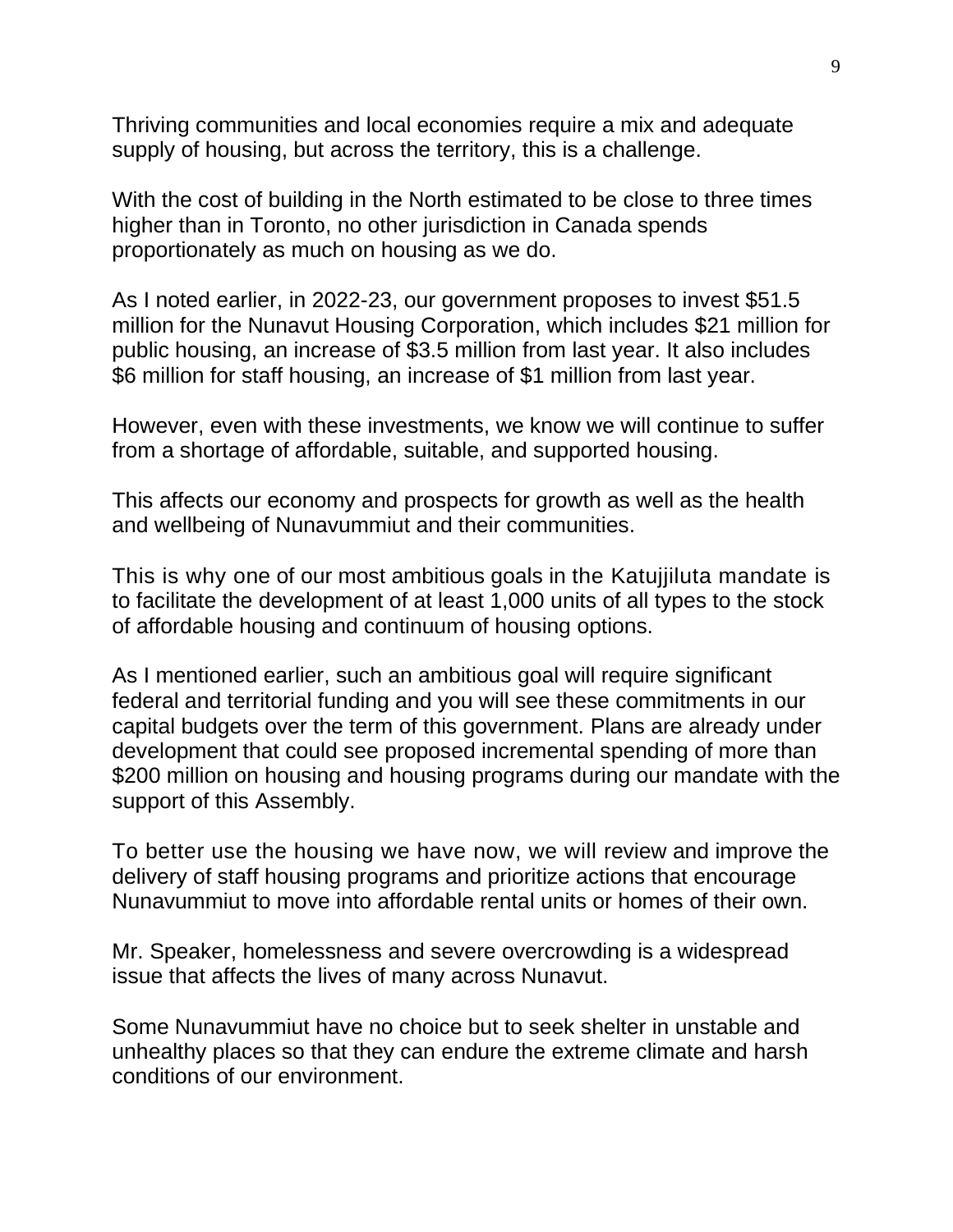Thriving communities and local economies require a mix and adequate supply of housing, but across the territory, this is a challenge.

With the cost of building in the North estimated to be close to three times higher than in Toronto, no other jurisdiction in Canada spends proportionately as much on housing as we do.

As I noted earlier, in 2022-23, our government proposes to invest \$51.5 million for the Nunavut Housing Corporation, which includes \$21 million for public housing, an increase of \$3.5 million from last year. It also includes \$6 million for staff housing, an increase of \$1 million from last year.

However, even with these investments, we know we will continue to suffer from a shortage of affordable, suitable, and supported housing.

This affects our economy and prospects for growth as well as the health and wellbeing of Nunavummiut and their communities.

This is why one of our most ambitious goals in the Katujjiluta mandate is to facilitate the development of at least 1,000 units of all types to the stock of affordable housing and continuum of housing options.

As I mentioned earlier, such an ambitious goal will require significant federal and territorial funding and you will see these commitments in our capital budgets over the term of this government. Plans are already under development that could see proposed incremental spending of more than \$200 million on housing and housing programs during our mandate with the support of this Assembly.

To better use the housing we have now, we will review and improve the delivery of staff housing programs and prioritize actions that encourage Nunavummiut to move into affordable rental units or homes of their own.

Mr. Speaker, homelessness and severe overcrowding is a widespread issue that affects the lives of many across Nunavut.

Some Nunavummiut have no choice but to seek shelter in unstable and unhealthy places so that they can endure the extreme climate and harsh conditions of our environment.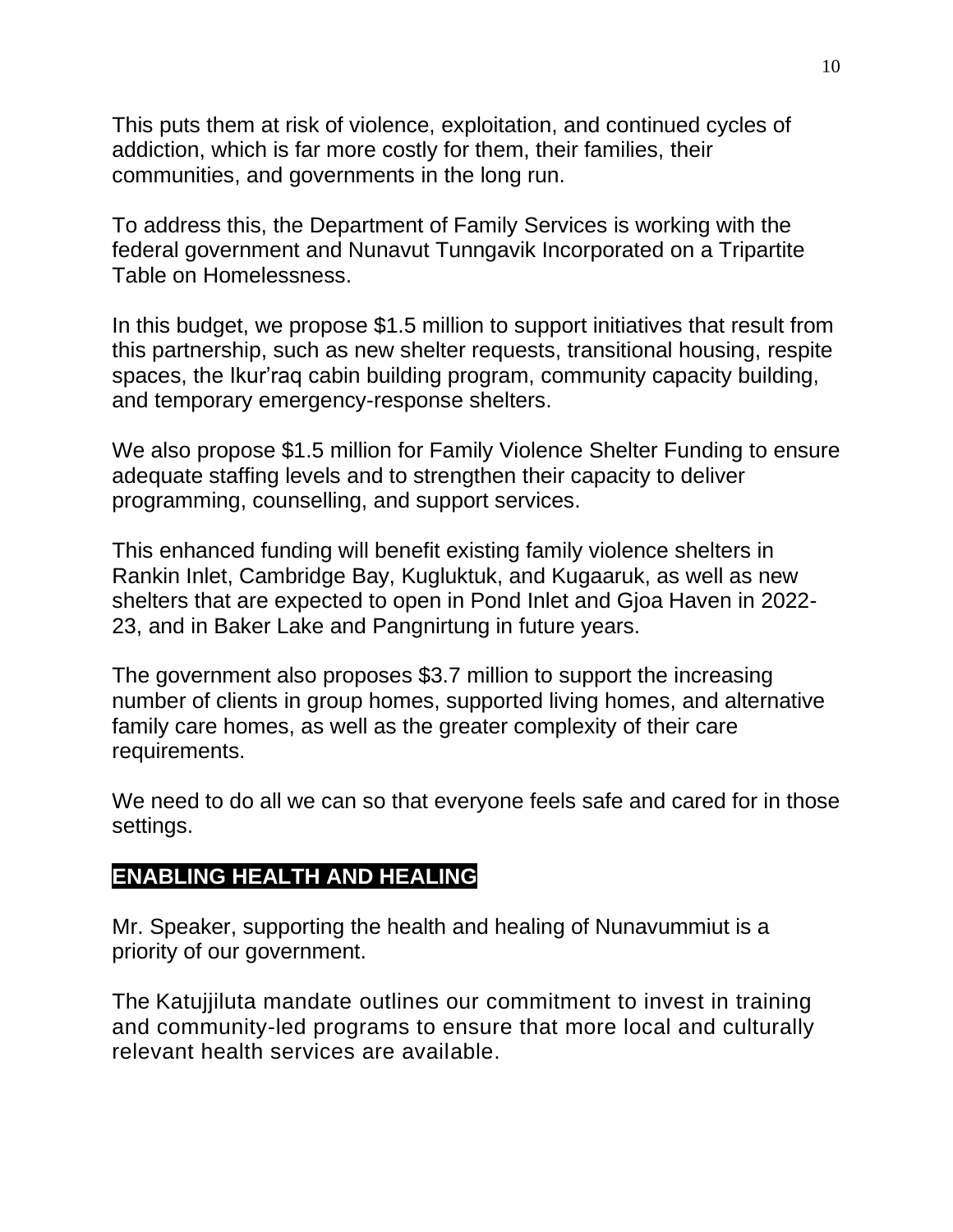This puts them at risk of violence, exploitation, and continued cycles of addiction, which is far more costly for them, their families, their communities, and governments in the long run.

To address this, the Department of Family Services is working with the federal government and Nunavut Tunngavik Incorporated on a Tripartite Table on Homelessness.

In this budget, we propose \$1.5 million to support initiatives that result from this partnership, such as new shelter requests, transitional housing, respite spaces, the Ikur'raq cabin building program, community capacity building, and temporary emergency-response shelters.

We also propose \$1.5 million for Family Violence Shelter Funding to ensure adequate staffing levels and to strengthen their capacity to deliver programming, counselling, and support services.

This enhanced funding will benefit existing family violence shelters in Rankin Inlet, Cambridge Bay, Kugluktuk, and Kugaaruk, as well as new shelters that are expected to open in Pond Inlet and Gjoa Haven in 2022- 23, and in Baker Lake and Pangnirtung in future years.

The government also proposes \$3.7 million to support the increasing number of clients in group homes, supported living homes, and alternative family care homes, as well as the greater complexity of their care requirements.

We need to do all we can so that everyone feels safe and cared for in those settings.

### **ENABLING HEALTH AND HEALING**

Mr. Speaker, supporting the health and healing of Nunavummiut is a priority of our government.

The Katujjiluta mandate outlines our commitment to invest in training and community-led programs to ensure that more local and culturally relevant health services are available.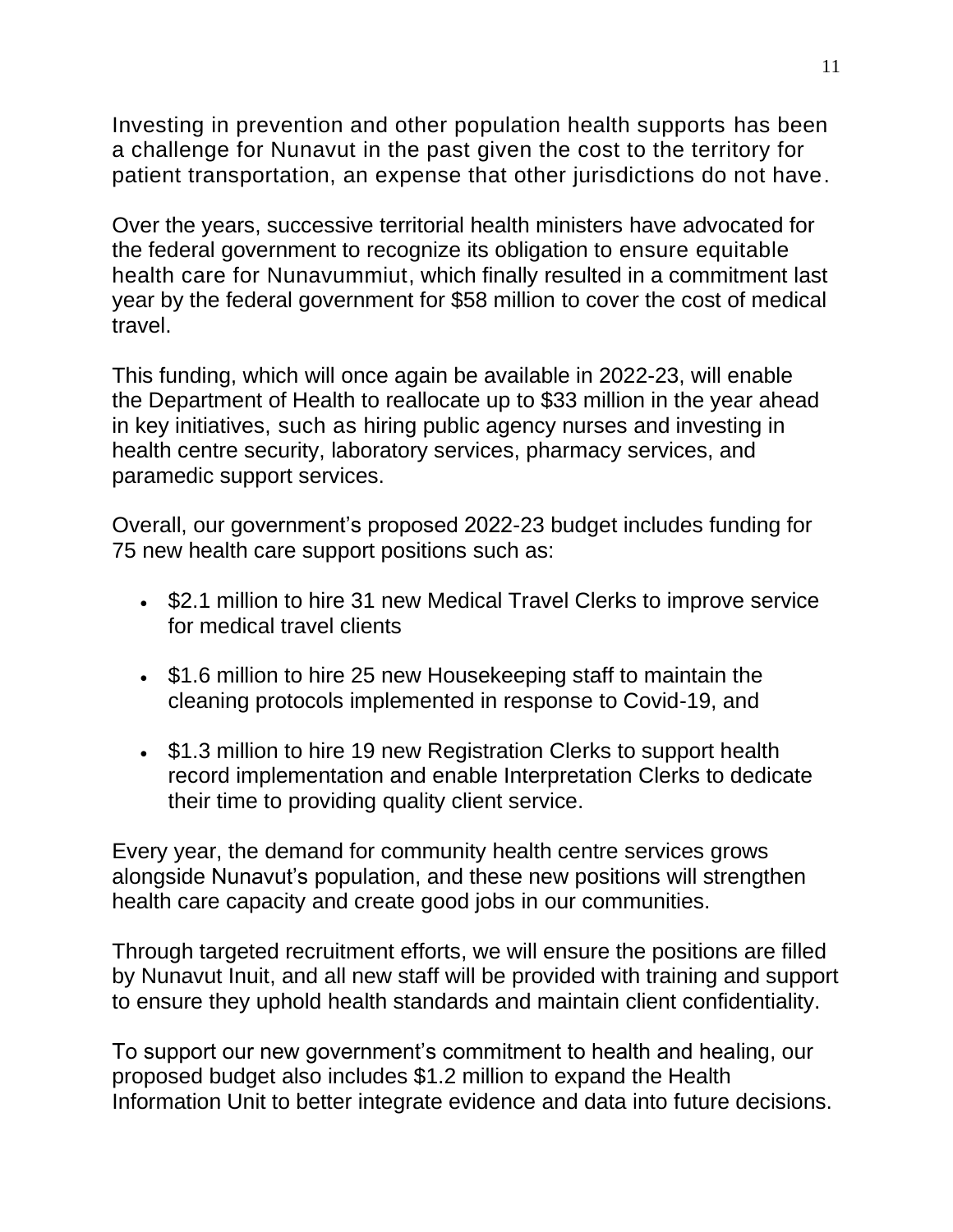Investing in prevention and other population health supports has been a challenge for Nunavut in the past given the cost to the territory for patient transportation, an expense that other jurisdictions do not have.

Over the years, successive territorial health ministers have advocated for the federal government to recognize its obligation to ensure equitable health care for Nunavummiut, which finally resulted in a commitment last year by the federal government for \$58 million to cover the cost of medical travel.

This funding, which will once again be available in 2022-23, will enable the Department of Health to reallocate up to \$33 million in the year ahead in key initiatives, such as hiring public agency nurses and investing in health centre security, laboratory services, pharmacy services, and paramedic support services.

Overall, our government's proposed 2022-23 budget includes funding for 75 new health care support positions such as:

- \$2.1 million to hire 31 new Medical Travel Clerks to improve service for medical travel clients
- \$1.6 million to hire 25 new Housekeeping staff to maintain the cleaning protocols implemented in response to Covid-19, and
- \$1.3 million to hire 19 new Registration Clerks to support health record implementation and enable Interpretation Clerks to dedicate their time to providing quality client service.

Every year, the demand for community health centre services grows alongside Nunavut's population, and these new positions will strengthen health care capacity and create good jobs in our communities.

Through targeted recruitment efforts, we will ensure the positions are filled by Nunavut Inuit, and all new staff will be provided with training and support to ensure they uphold health standards and maintain client confidentiality.

To support our new government's commitment to health and healing, our proposed budget also includes \$1.2 million to expand the Health Information Unit to better integrate evidence and data into future decisions.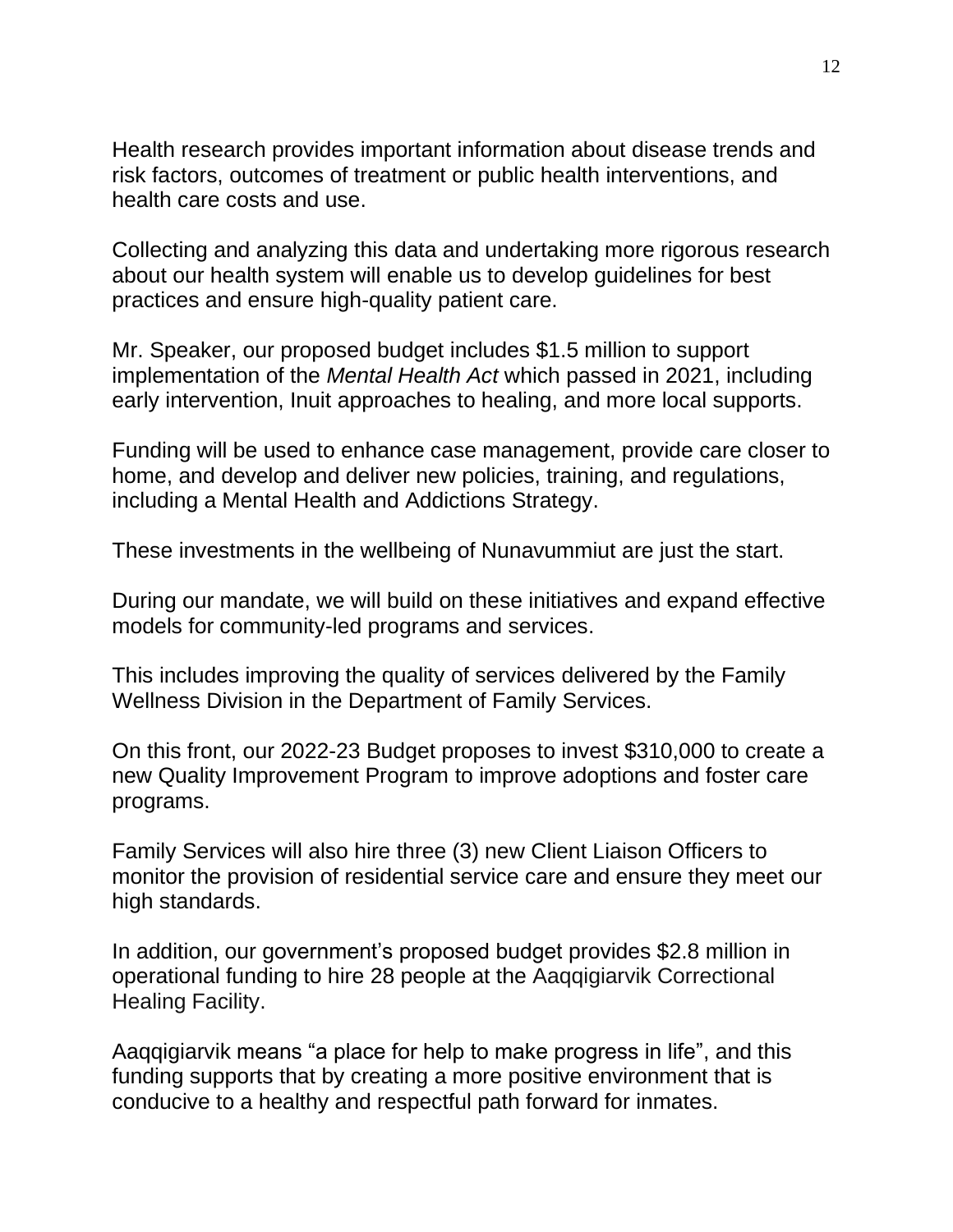Health research provides important information about disease trends and risk factors, outcomes of treatment or public health interventions, and health care costs and use.

Collecting and analyzing this data and undertaking more rigorous research about our health system will enable us to develop guidelines for best practices and ensure high-quality patient care.

Mr. Speaker, our proposed budget includes \$1.5 million to support implementation of the *Mental Health Act* which passed in 2021, including early intervention, Inuit approaches to healing, and more local supports.

Funding will be used to enhance case management, provide care closer to home, and develop and deliver new policies, training, and regulations, including a Mental Health and Addictions Strategy.

These investments in the wellbeing of Nunavummiut are just the start.

During our mandate, we will build on these initiatives and expand effective models for community-led programs and services.

This includes improving the quality of services delivered by the Family Wellness Division in the Department of Family Services.

On this front, our 2022-23 Budget proposes to invest \$310,000 to create a new Quality Improvement Program to improve adoptions and foster care programs.

Family Services will also hire three (3) new Client Liaison Officers to monitor the provision of residential service care and ensure they meet our high standards.

In addition, our government's proposed budget provides \$2.8 million in operational funding to hire 28 people at the Aaqqigiarvik Correctional Healing Facility.

Aaqqigiarvik means "a place for help to make progress in life", and this funding supports that by creating a more positive environment that is conducive to a healthy and respectful path forward for inmates.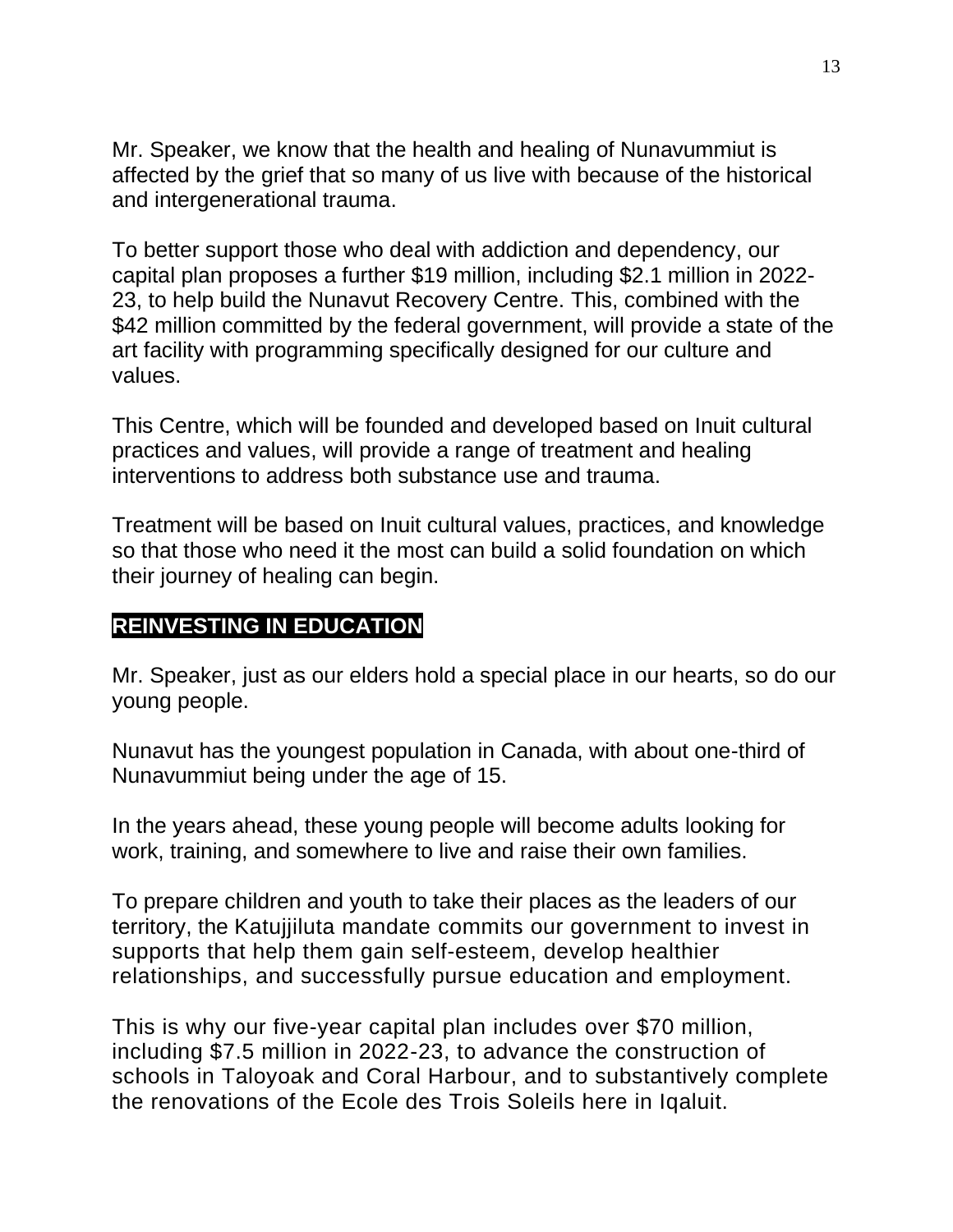Mr. Speaker, we know that the health and healing of Nunavummiut is affected by the grief that so many of us live with because of the historical and intergenerational trauma.

To better support those who deal with addiction and dependency, our capital plan proposes a further \$19 million, including \$2.1 million in 2022- 23, to help build the Nunavut Recovery Centre. This, combined with the \$42 million committed by the federal government, will provide a state of the art facility with programming specifically designed for our culture and values.

This Centre, which will be founded and developed based on Inuit cultural practices and values, will provide a range of treatment and healing interventions to address both substance use and trauma.

Treatment will be based on Inuit cultural values, practices, and knowledge so that those who need it the most can build a solid foundation on which their journey of healing can begin.

## **REINVESTING IN EDUCATION**

Mr. Speaker, just as our elders hold a special place in our hearts, so do our young people.

Nunavut has the youngest population in Canada, with about one-third of Nunavummiut being under the age of 15.

In the years ahead, these young people will become adults looking for work, training, and somewhere to live and raise their own families.

To prepare children and youth to take their places as the leaders of our territory, the Katujjiluta mandate commits our government to invest in supports that help them gain self-esteem, develop healthier relationships, and successfully pursue education and employment.

This is why our five-year capital plan includes over \$70 million, including \$7.5 million in 2022-23, to advance the construction of schools in Taloyoak and Coral Harbour, and to substantively complete the renovations of the Ecole des Trois Soleils here in Iqaluit.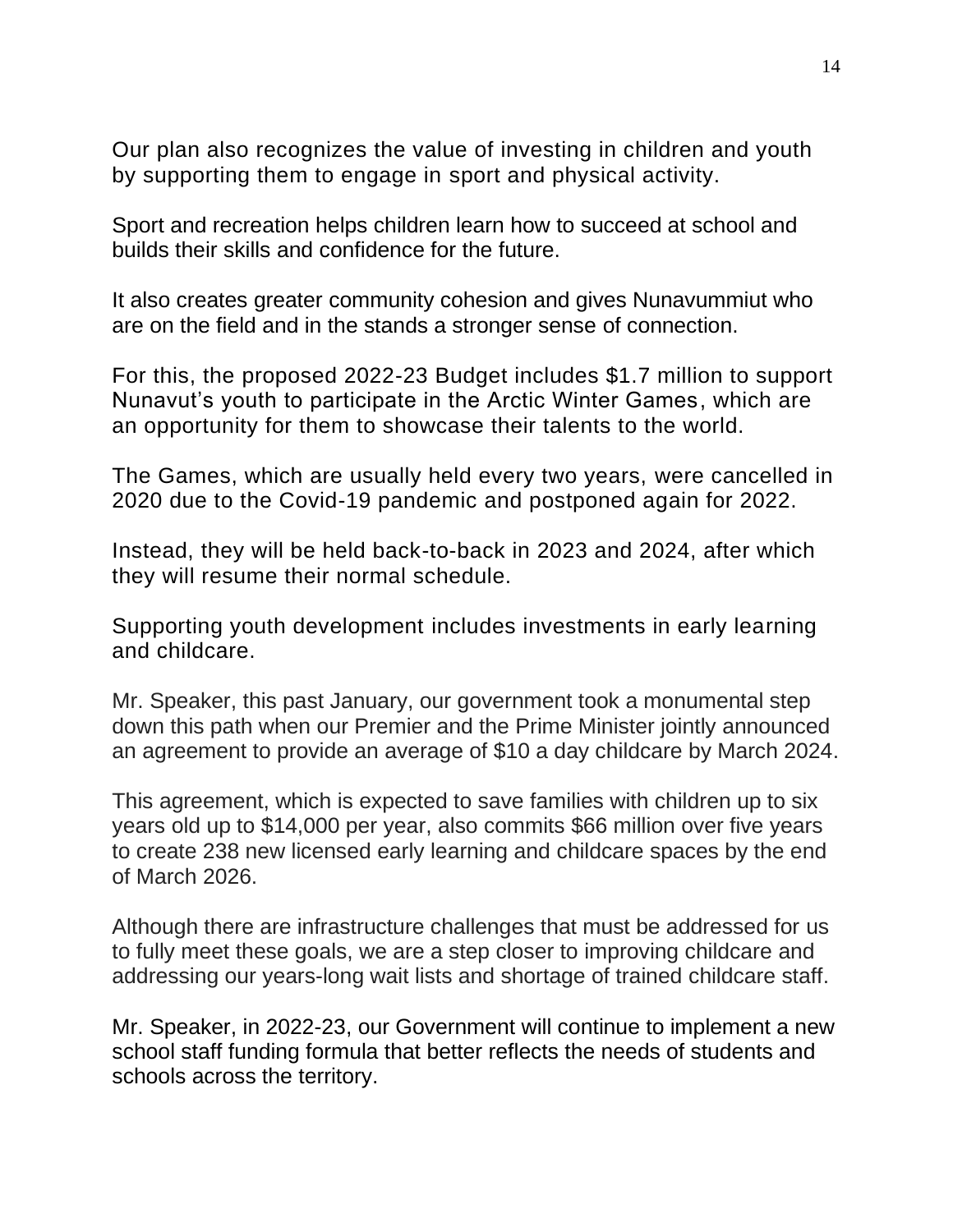Our plan also recognizes the value of investing in children and youth by supporting them to engage in sport and physical activity.

Sport and recreation helps children learn how to succeed at school and builds their skills and confidence for the future.

It also creates greater community cohesion and gives Nunavummiut who are on the field and in the stands a stronger sense of connection.

For this, the proposed 2022-23 Budget includes \$1.7 million to support Nunavut's youth to participate in the Arctic Winter Games, which are an opportunity for them to showcase their talents to the world.

The Games, which are usually held every two years, were cancelled in 2020 due to the Covid-19 pandemic and postponed again for 2022.

Instead, they will be held back-to-back in 2023 and 2024, after which they will resume their normal schedule.

Supporting youth development includes investments in early learning and childcare.

Mr. Speaker, this past January, our government took a monumental step down this path when our Premier and the Prime Minister jointly announced an agreement to provide an average of \$10 a day childcare by March 2024.

This agreement, which is expected to save families with children up to six years old up to \$14,000 per year, also commits \$66 million over five years to create 238 new licensed early learning and childcare spaces by the end of March 2026.

Although there are infrastructure challenges that must be addressed for us to fully meet these goals, we are a step closer to improving childcare and addressing our years-long wait lists and shortage of trained childcare staff.

Mr. Speaker, in 2022-23, our Government will continue to implement a new school staff funding formula that better reflects the needs of students and schools across the territory.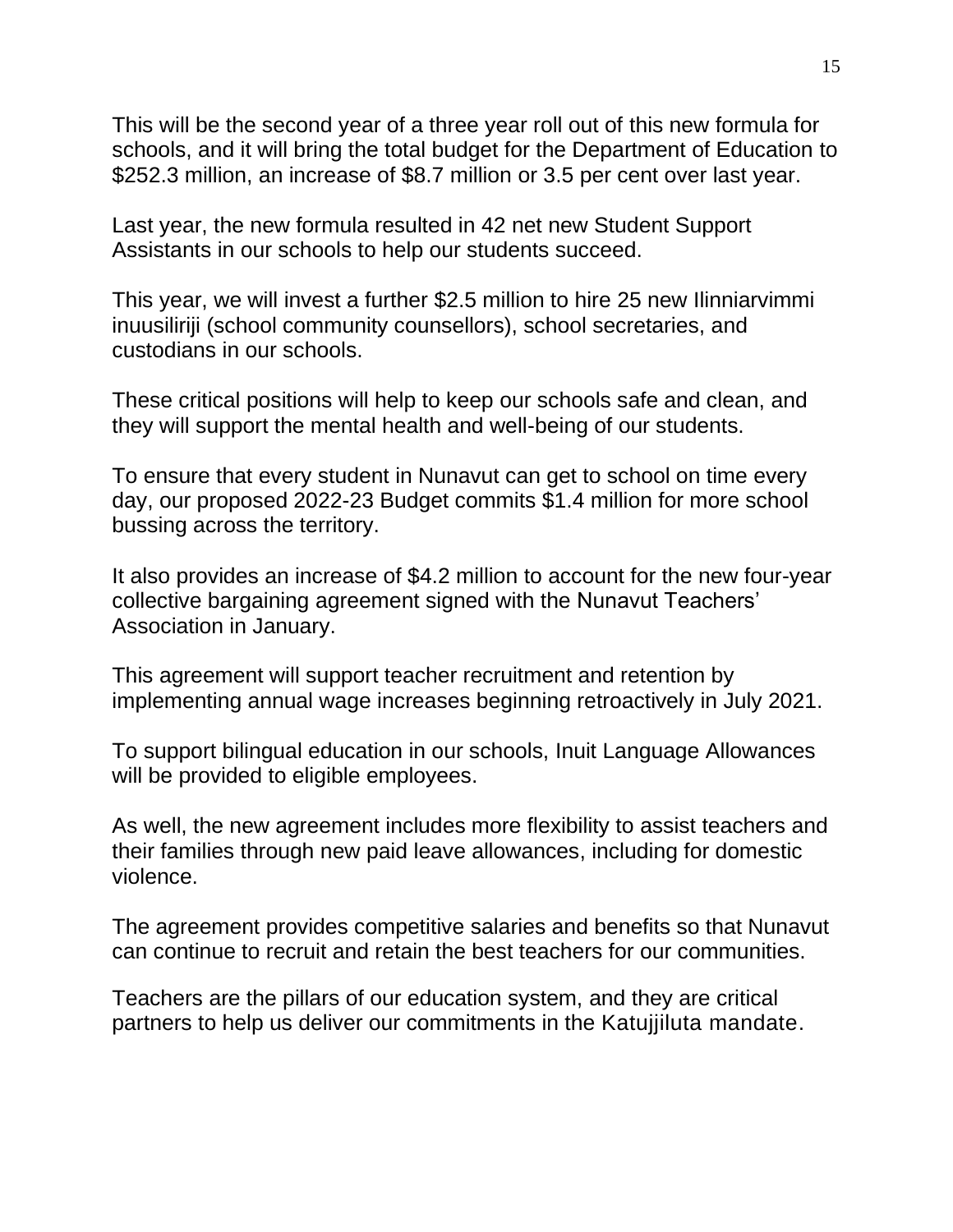This will be the second year of a three year roll out of this new formula for schools, and it will bring the total budget for the Department of Education to \$252.3 million, an increase of \$8.7 million or 3.5 per cent over last year.

Last year, the new formula resulted in 42 net new Student Support Assistants in our schools to help our students succeed.

This year, we will invest a further \$2.5 million to hire 25 new Ilinniarvimmi inuusiliriji (school community counsellors), school secretaries, and custodians in our schools.

These critical positions will help to keep our schools safe and clean, and they will support the mental health and well-being of our students.

To ensure that every student in Nunavut can get to school on time every day, our proposed 2022-23 Budget commits \$1.4 million for more school bussing across the territory.

It also provides an increase of \$4.2 million to account for the new four-year collective bargaining agreement signed with the Nunavut Teachers' Association in January.

This agreement will support teacher recruitment and retention by implementing annual wage increases beginning retroactively in July 2021.

To support bilingual education in our schools, Inuit Language Allowances will be provided to eligible employees.

As well, the new agreement includes more flexibility to assist teachers and their families through new paid leave allowances, including for domestic violence.

The agreement provides competitive salaries and benefits so that Nunavut can continue to recruit and retain the best teachers for our communities.

Teachers are the pillars of our education system, and they are critical partners to help us deliver our commitments in the Katujjiluta mandate.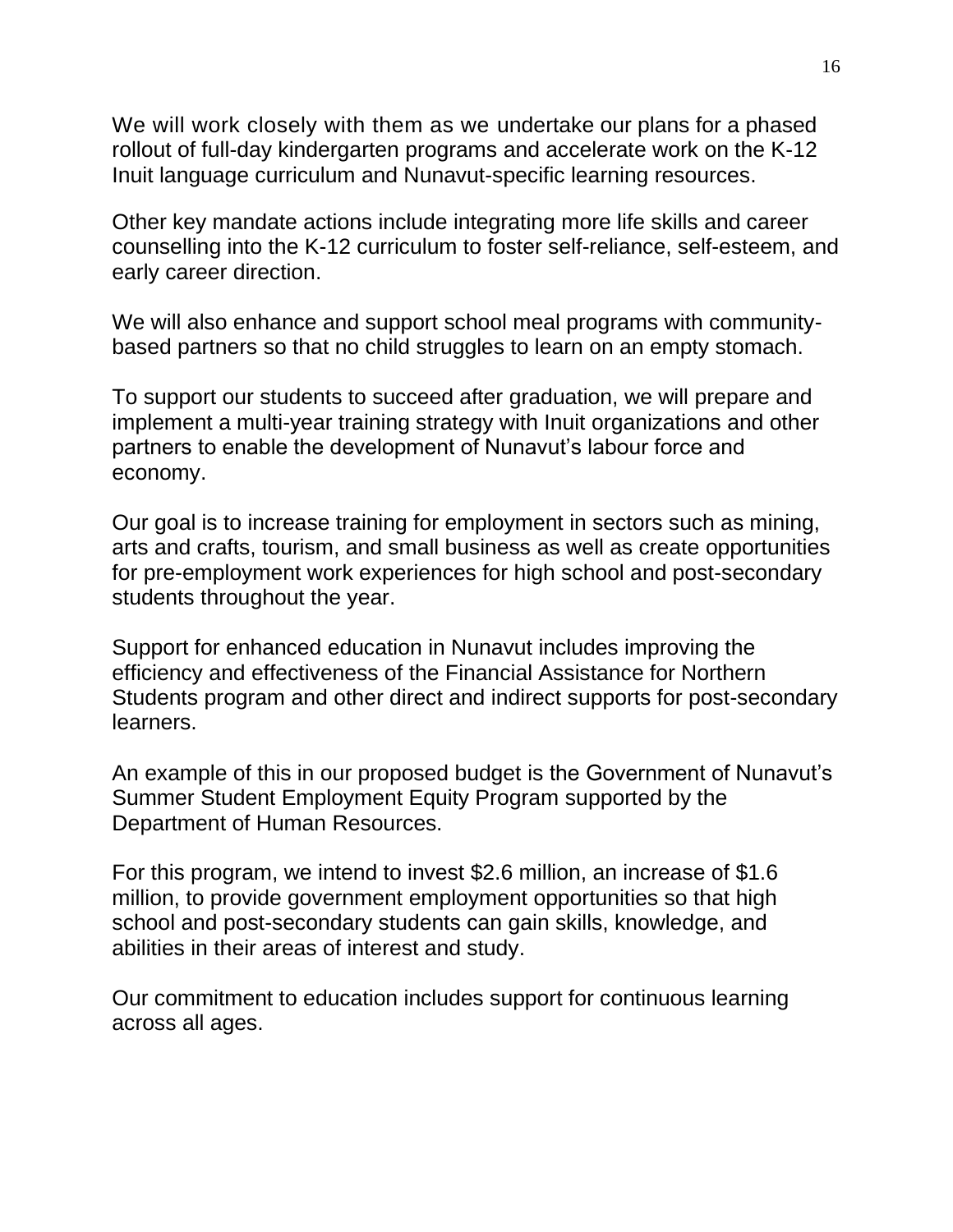We will work closely with them as we undertake our plans for a phased rollout of full-day kindergarten programs and accelerate work on the K-12 Inuit language curriculum and Nunavut-specific learning resources.

Other key mandate actions include integrating more life skills and career counselling into the K-12 curriculum to foster self-reliance, self-esteem, and early career direction.

We will also enhance and support school meal programs with communitybased partners so that no child struggles to learn on an empty stomach.

To support our students to succeed after graduation, we will prepare and implement a multi-year training strategy with Inuit organizations and other partners to enable the development of Nunavut's labour force and economy.

Our goal is to increase training for employment in sectors such as mining, arts and crafts, tourism, and small business as well as create opportunities for pre-employment work experiences for high school and post-secondary students throughout the year.

Support for enhanced education in Nunavut includes improving the efficiency and effectiveness of the Financial Assistance for Northern Students program and other direct and indirect supports for post-secondary learners.

An example of this in our proposed budget is the Government of Nunavut's Summer Student Employment Equity Program supported by the Department of Human Resources.

For this program, we intend to invest \$2.6 million, an increase of \$1.6 million, to provide government employment opportunities so that high school and post-secondary students can gain skills, knowledge, and abilities in their areas of interest and study.

Our commitment to education includes support for continuous learning across all ages.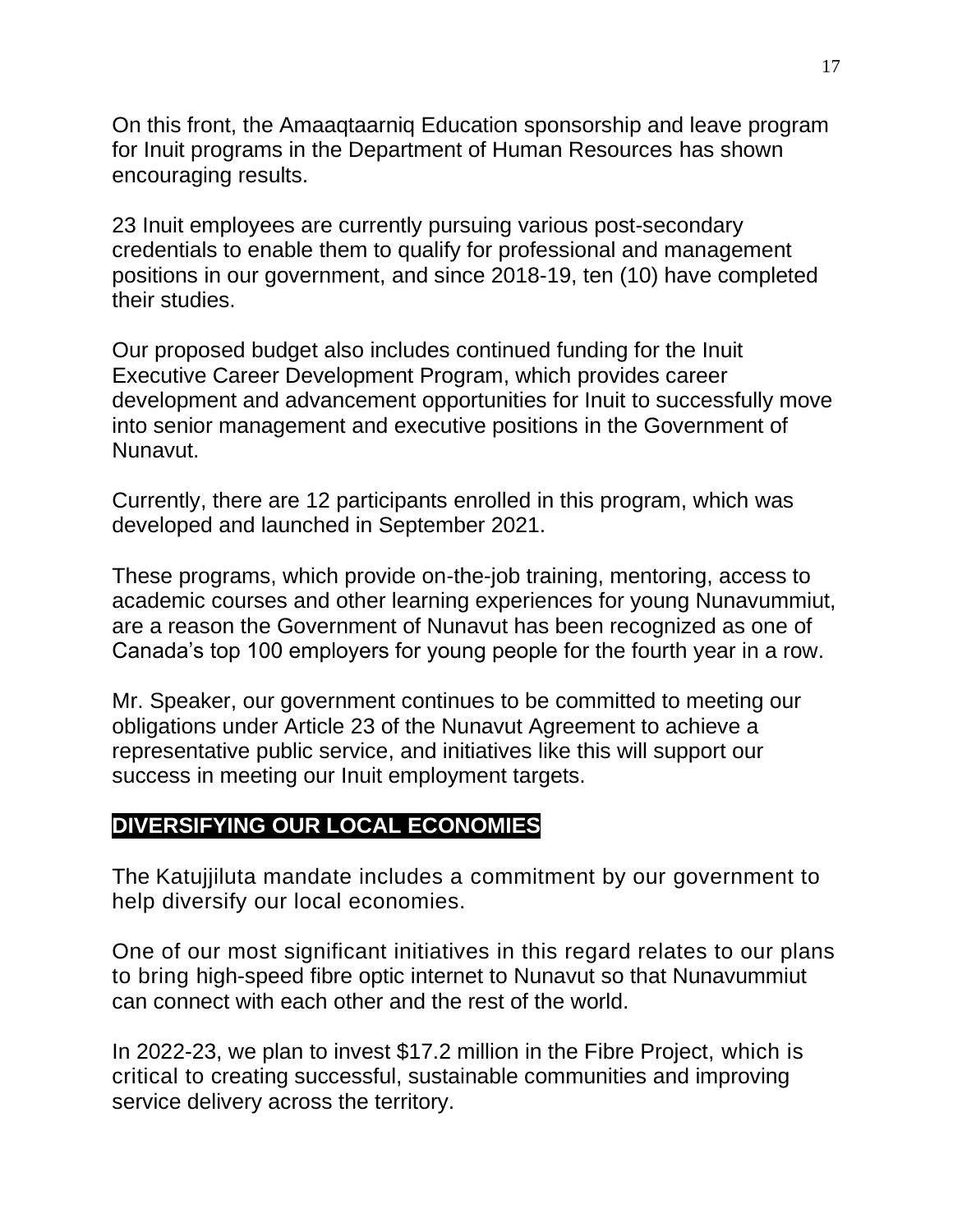On this front, the Amaaqtaarniq Education sponsorship and leave program for Inuit programs in the Department of Human Resources has shown encouraging results.

23 Inuit employees are currently pursuing various post-secondary credentials to enable them to qualify for professional and management positions in our government, and since 2018-19, ten (10) have completed their studies.

Our proposed budget also includes continued funding for the Inuit Executive Career Development Program, which provides career development and advancement opportunities for Inuit to successfully move into senior management and executive positions in the Government of Nunavut.

Currently, there are 12 participants enrolled in this program, which was developed and launched in September 2021.

These programs, which provide on-the-job training, mentoring, access to academic courses and other learning experiences for young Nunavummiut, are a reason the Government of Nunavut has been recognized as one of Canada's top 100 employers for young people for the fourth year in a row.

Mr. Speaker, our government continues to be committed to meeting our obligations under Article 23 of the Nunavut Agreement to achieve a representative public service, and initiatives like this will support our success in meeting our Inuit employment targets.

### **DIVERSIFYING OUR LOCAL ECONOMIES**

The Katujjiluta mandate includes a commitment by our government to help diversify our local economies.

One of our most significant initiatives in this regard relates to our plans to bring high-speed fibre optic internet to Nunavut so that Nunavummiut can connect with each other and the rest of the world.

In 2022-23, we plan to invest \$17.2 million in the Fibre Project, which is critical to creating successful, sustainable communities and improving service delivery across the territory.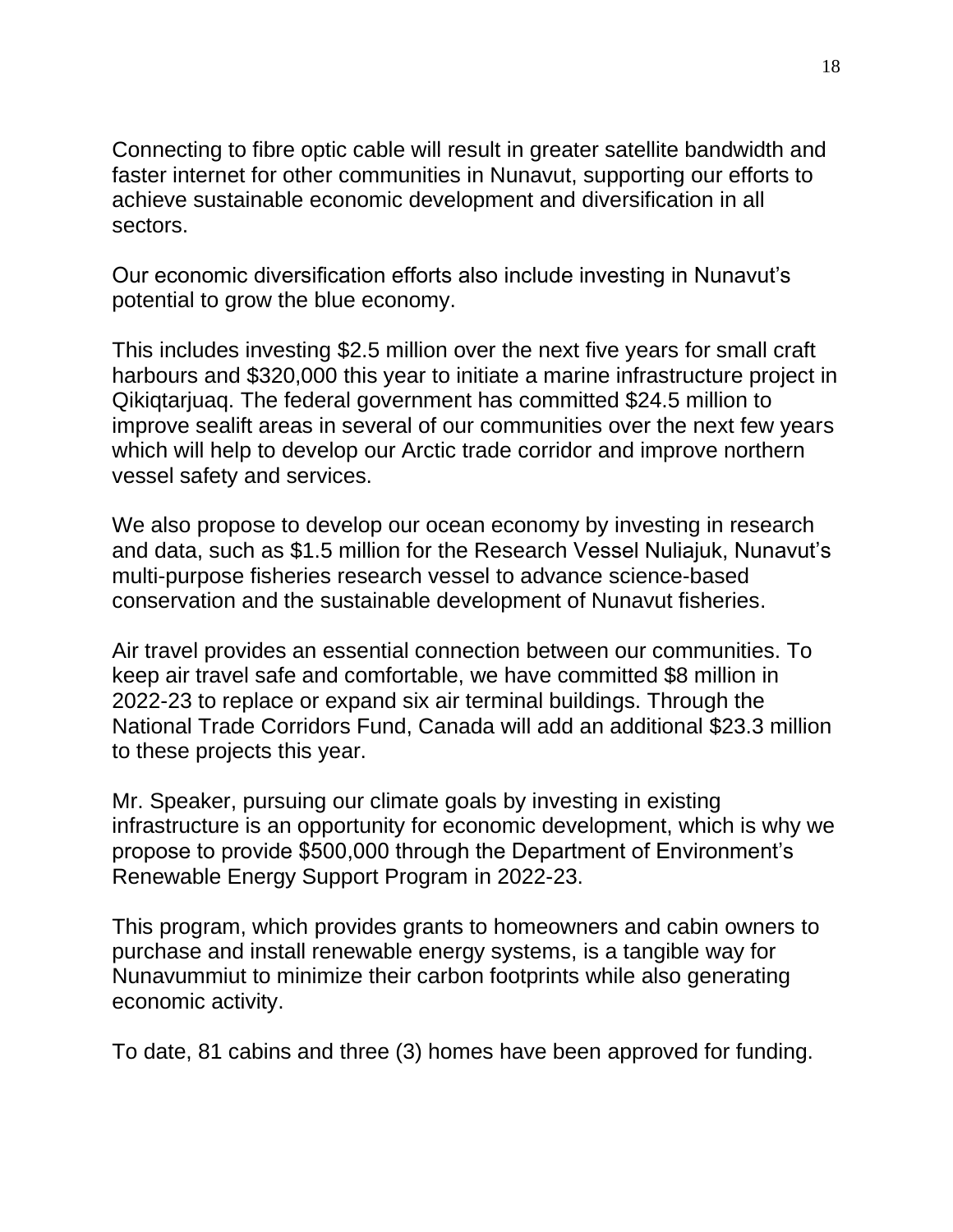Connecting to fibre optic cable will result in greater satellite bandwidth and faster internet for other communities in Nunavut, supporting our efforts to achieve sustainable economic development and diversification in all sectors.

Our economic diversification efforts also include investing in Nunavut's potential to grow the blue economy.

This includes investing \$2.5 million over the next five years for small craft harbours and \$320,000 this year to initiate a marine infrastructure project in Qikiqtarjuaq. The federal government has committed \$24.5 million to improve sealift areas in several of our communities over the next few years which will help to develop our Arctic trade corridor and improve northern vessel safety and services.

We also propose to develop our ocean economy by investing in research and data, such as \$1.5 million for the Research Vessel Nuliajuk, Nunavut's multi-purpose fisheries research vessel to advance science-based conservation and the sustainable development of Nunavut fisheries.

Air travel provides an essential connection between our communities. To keep air travel safe and comfortable, we have committed \$8 million in 2022-23 to replace or expand six air terminal buildings. Through the National Trade Corridors Fund, Canada will add an additional \$23.3 million to these projects this year.

Mr. Speaker, pursuing our climate goals by investing in existing infrastructure is an opportunity for economic development, which is why we propose to provide \$500,000 through the Department of Environment's Renewable Energy Support Program in 2022-23.

This program, which provides grants to homeowners and cabin owners to purchase and install renewable energy systems, is a tangible way for Nunavummiut to minimize their carbon footprints while also generating economic activity.

To date, 81 cabins and three (3) homes have been approved for funding.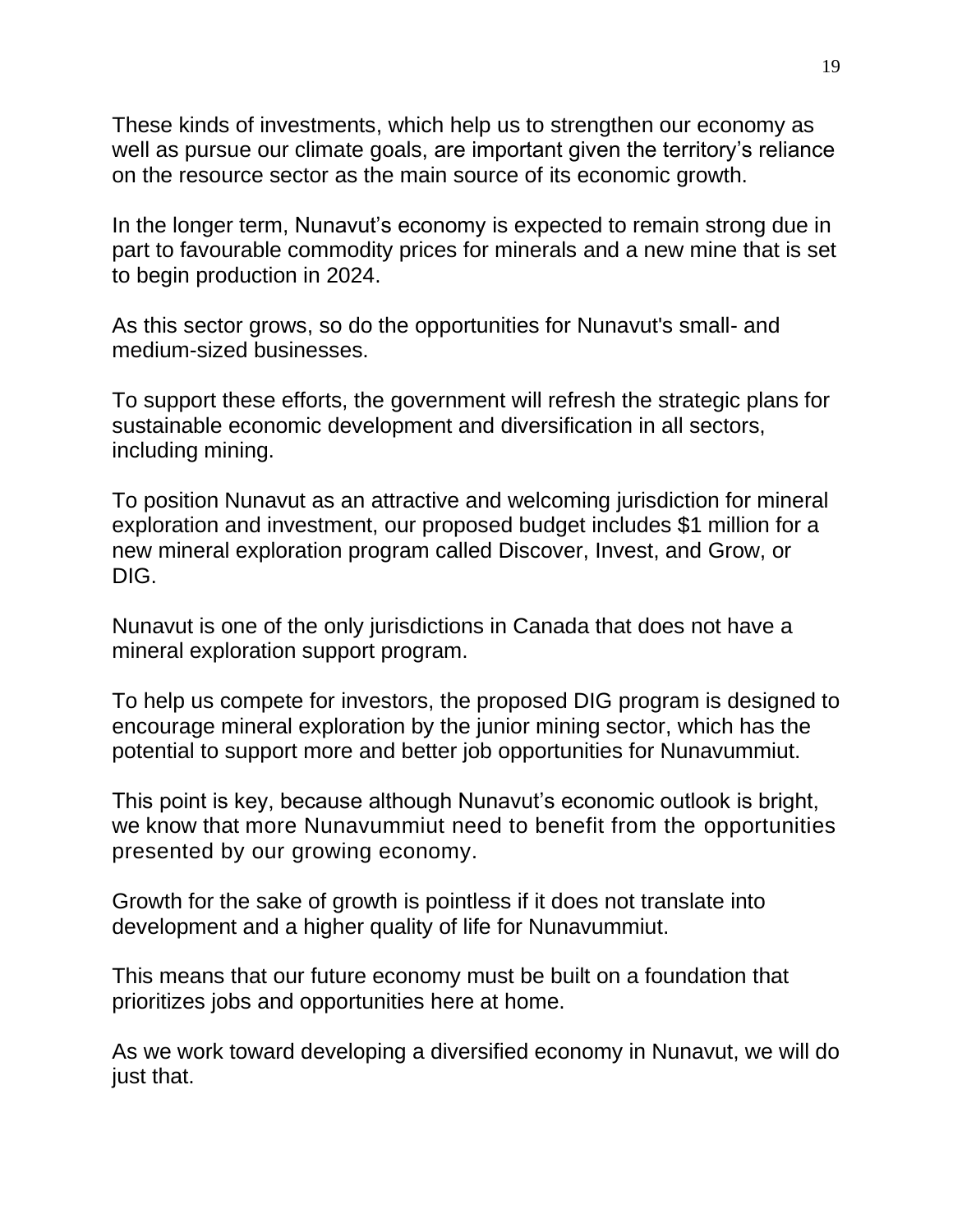These kinds of investments, which help us to strengthen our economy as well as pursue our climate goals, are important given the territory's reliance on the resource sector as the main source of its economic growth.

In the longer term, Nunavut's economy is expected to remain strong due in part to favourable commodity prices for minerals and a new mine that is set to begin production in 2024.

As this sector grows, so do the opportunities for Nunavut's small- and medium-sized businesses.

To support these efforts, the government will refresh the strategic plans for sustainable economic development and diversification in all sectors, including mining.

To position Nunavut as an attractive and welcoming jurisdiction for mineral exploration and investment, our proposed budget includes \$1 million for a new mineral exploration program called Discover, Invest, and Grow, or DIG.

Nunavut is one of the only jurisdictions in Canada that does not have a mineral exploration support program.

To help us compete for investors, the proposed DIG program is designed to encourage mineral exploration by the junior mining sector, which has the potential to support more and better job opportunities for Nunavummiut.

This point is key, because although Nunavut's economic outlook is bright, we know that more Nunavummiut need to benefit from the opportunities presented by our growing economy.

Growth for the sake of growth is pointless if it does not translate into development and a higher quality of life for Nunavummiut.

This means that our future economy must be built on a foundation that prioritizes jobs and opportunities here at home.

As we work toward developing a diversified economy in Nunavut, we will do just that.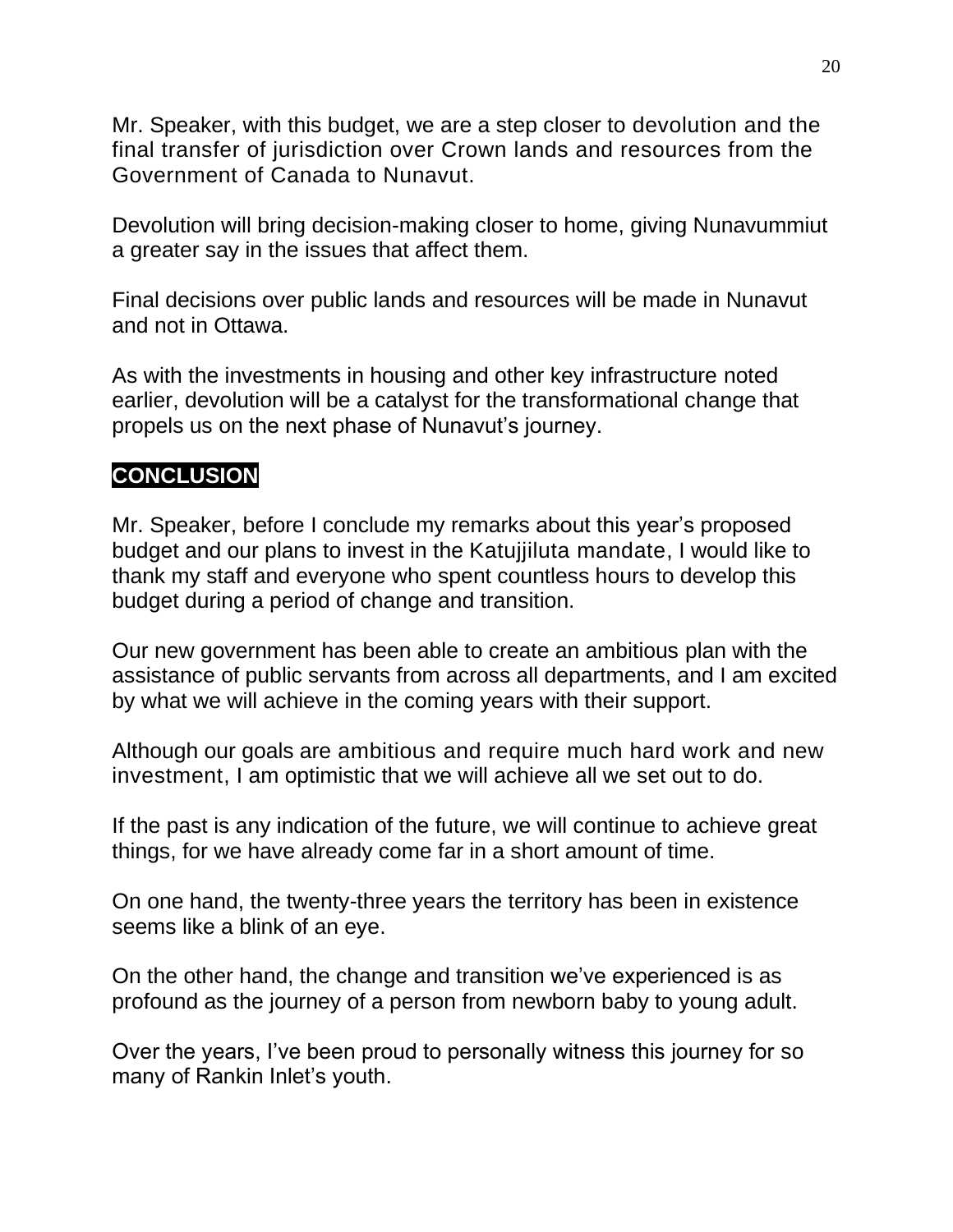Mr. Speaker, with this budget, we are a step closer to devolution and the final transfer of jurisdiction over Crown lands and resources from the Government of Canada to Nunavut.

Devolution will bring decision-making closer to home, giving Nunavummiut a greater say in the issues that affect them.

Final decisions over public lands and resources will be made in Nunavut and not in Ottawa.

As with the investments in housing and other key infrastructure noted earlier, devolution will be a catalyst for the transformational change that propels us on the next phase of Nunavut's journey.

# **CONCLUSION**

Mr. Speaker, before I conclude my remarks about this year's proposed budget and our plans to invest in the Katujjiluta mandate, I would like to thank my staff and everyone who spent countless hours to develop this budget during a period of change and transition.

Our new government has been able to create an ambitious plan with the assistance of public servants from across all departments, and I am excited by what we will achieve in the coming years with their support.

Although our goals are ambitious and require much hard work and new investment, I am optimistic that we will achieve all we set out to do.

If the past is any indication of the future, we will continue to achieve great things, for we have already come far in a short amount of time.

On one hand, the twenty-three years the territory has been in existence seems like a blink of an eye.

On the other hand, the change and transition we've experienced is as profound as the journey of a person from newborn baby to young adult.

Over the years, I've been proud to personally witness this journey for so many of Rankin Inlet's youth.